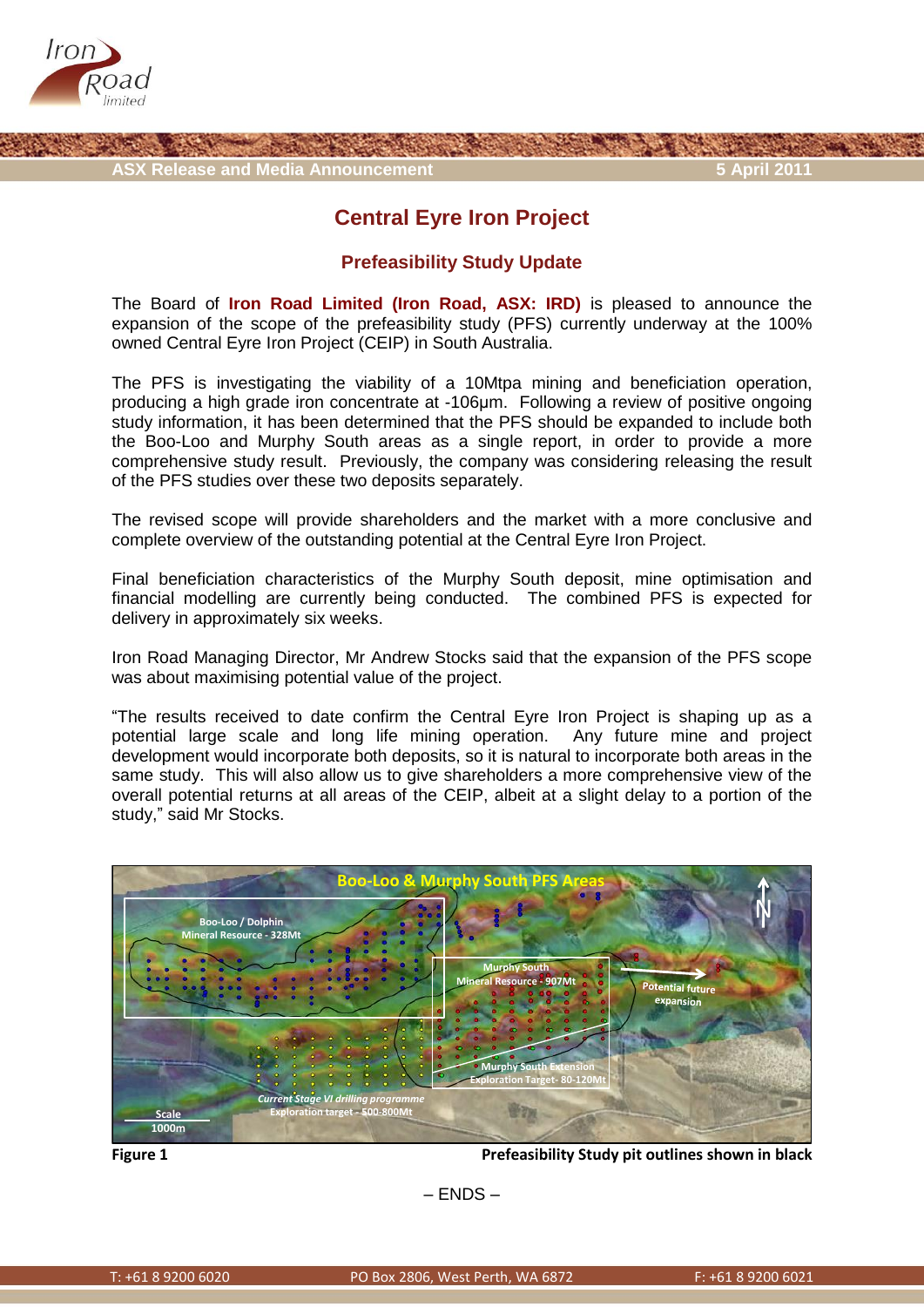

## **Central Eyre Iron Project**

## **Prefeasibility Study Update**

The Board of **Iron Road Limited (Iron Road, ASX: IRD)** is pleased to announce the expansion of the scope of the prefeasibility study (PFS) currently underway at the 100% owned Central Eyre Iron Project (CEIP) in South Australia.

The PFS is investigating the viability of a 10Mtpa mining and beneficiation operation, producing a high grade iron concentrate at -106μm. Following a review of positive ongoing study information, it has been determined that the PFS should be expanded to include both the Boo-Loo and Murphy South areas as a single report, in order to provide a more comprehensive study result. Previously, the company was considering releasing the result of the PFS studies over these two deposits separately.

The revised scope will provide shareholders and the market with a more conclusive and complete overview of the outstanding potential at the Central Eyre Iron Project.

Final beneficiation characteristics of the Murphy South deposit, mine optimisation and financial modelling are currently being conducted. The combined PFS is expected for delivery in approximately six weeks.

Iron Road Managing Director, Mr Andrew Stocks said that the expansion of the PFS scope was about maximising potential value of the project.

"The results received to date confirm the Central Eyre Iron Project is shaping up as a potential large scale and long life mining operation. Any future mine and project development would incorporate both deposits, so it is natural to incorporate both areas in the same study. This will also allow us to give shareholders a more comprehensive view of the overall potential returns at all areas of the CEIP, albeit at a slight delay to a portion of the study," said Mr Stocks.



**Figure 1 Prefeasibility Study pit outlines shown in black**

– ENDS –